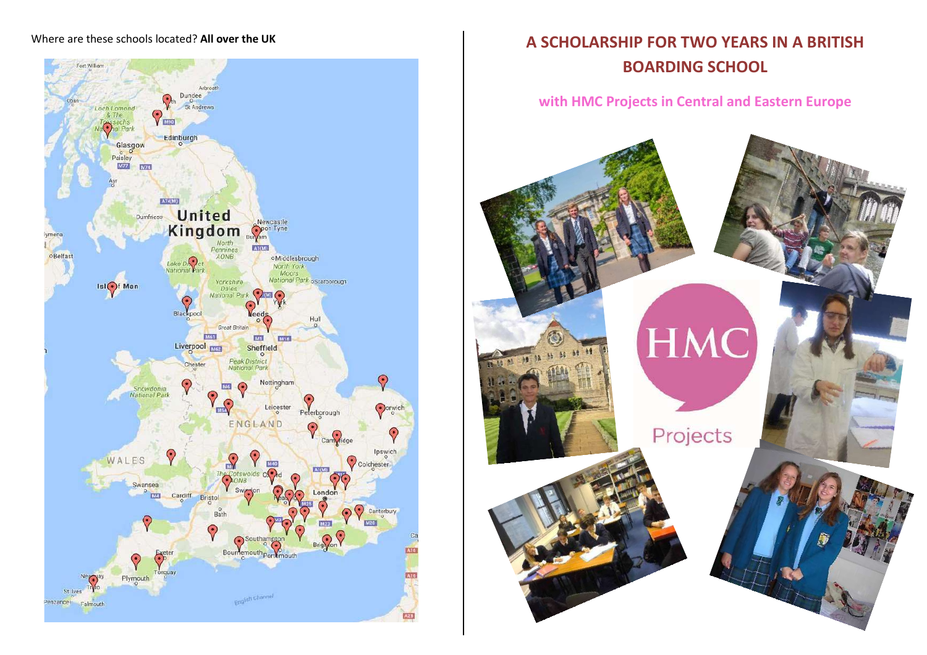

# Where are these schools located? All over the UK **A SCHOLARSHIP FOR TWO YEARS IN A BRITISH BOARDING SCHOOL**

# **with HMC Projects in Central and Eastern Europe**

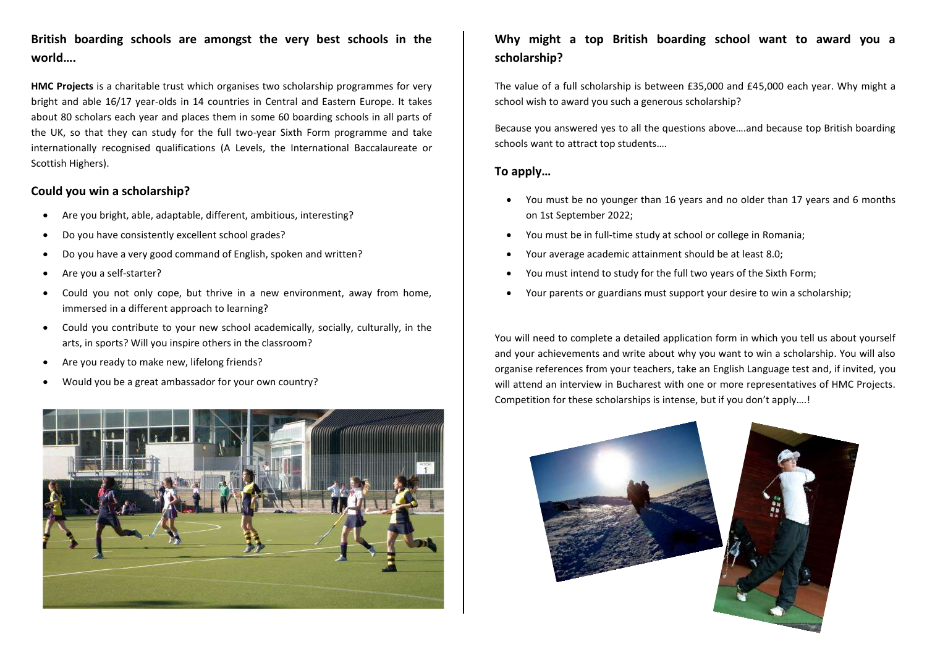# **British boarding schools are amongst the very best schools in the world….**

**HMC Projects** is a charitable trust which organises two scholarship programmes for very bright and able 16/17 year-olds in 14 countries in Central and Eastern Europe. It takes about 80 scholars each year and places them in some 60 boarding schools in all parts of the UK, so that they can study for the full two-year Sixth Form programme and take internationally recognised qualifications (A Levels, the International Baccalaureate or Scottish Highers).

#### **Could you win a scholarship?**

- Are you bright, able, adaptable, different, ambitious, interesting?
- Do you have consistently excellent school grades?
- Do you have a very good command of English, spoken and written?
- Are you a self-starter?
- Could you not only cope, but thrive in a new environment, away from home, immersed in a different approach to learning?
- Could you contribute to your new school academically, socially, culturally, in the arts, in sports? Will you inspire others in the classroom?
- Are you ready to make new, lifelong friends?
- Would you be a great ambassador for your own country?



# **Why might a top British boarding school want to award you a scholarship?**

The value of a full scholarship is between £35,000 and £45,000 each year. Why might a school wish to award you such a generous scholarship?

Because you answered yes to all the questions above….and because top British boarding schools want to attract top students….

#### **To apply…**

- You must be no younger than 16 years and no older than 17 years and 6 months on 1st September 2022;
- You must be in full-time study at school or college in Romania;
- Your average academic attainment should be at least 8.0;
- You must intend to study for the full two years of the Sixth Form;
- Your parents or guardians must support your desire to win a scholarship;

You will need to complete a detailed application form in which you tell us about yourself and your achievements and write about why you want to win a scholarship. You will also organise references from your teachers, take an English Language test and, if invited, you will attend an interview in Bucharest with one or more representatives of HMC Projects. Competition for these scholarships is intense, but if you don't apply….!

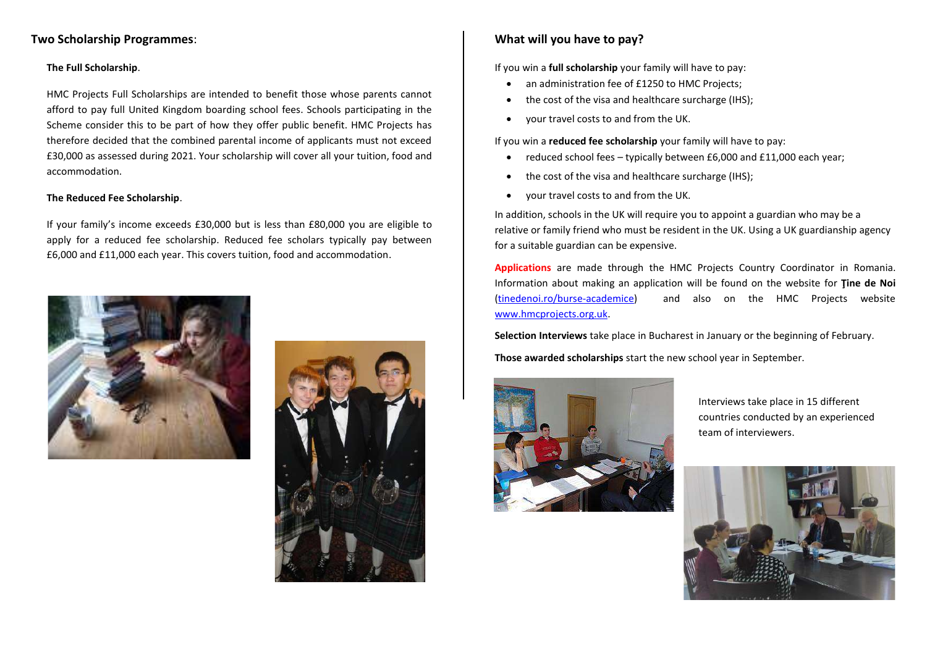#### **Two Scholarship Programmes**:

#### **The Full Scholarship**.

HMC Projects Full Scholarships are intended to benefit those whose parents cannot afford to pay full United Kingdom boarding school fees. Schools participating in the Scheme consider this to be part of how they offer public benefit. HMC Projects has therefore decided that the combined parental income of applicants must not exceed £30,000 as assessed during 2021. Your scholarship will cover all your tuition, food and accommodation.

#### **The Reduced Fee Scholarship**.

If your family's income exceeds £30,000 but is less than £80,000 you are eligible to apply for a reduced fee scholarship. Reduced fee scholars typically pay between £6,000 and £11,000 each year. This covers tuition, food and accommodation.





### **What will you have to pay?**

If you win a **full scholarship** your family will have to pay:

- an administration fee of £1250 to HMC Projects;
- the cost of the visa and healthcare surcharge (IHS);
- your travel costs to and from the UK.

If you win a **reduced fee scholarship** your family will have to pay:

- reduced school fees typically between £6,000 and £11,000 each year;
- the cost of the visa and healthcare surcharge (IHS):
- your travel costs to and from the UK.

In addition, schools in the UK will require you to appoint a guardian who may be a relative or family friend who must be resident in the UK. Using a UK guardianship agency for a suitable guardian can be expensive.

**Applications** are made through the HMC Projects Country Coordinator in Romania. Information about making an application will be found on the website for **Ţine de Noi**  [\(tinedenoi.ro/burse-academice\)](http://tinedenoi.ro/burse-academice/) and also on the HMC Projects website [www.hmcprojects.org.uk.](http://www.hmcprojects.org.uk/)

**Selection Interviews** take place in Bucharest in January or the beginning of February.

**Those awarded scholarships** start the new school year in September.



Interviews take place in 15 different countries conducted by an experienced team of interviewers.